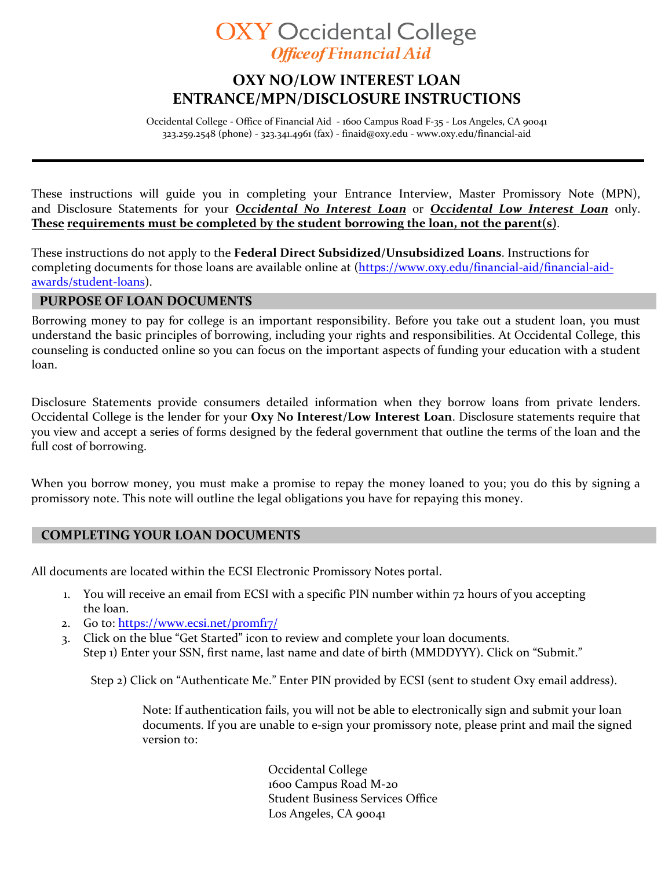# **OXY Occidental College Office of Financial Aid**

## **OXY NO/LOW INTEREST LOAN ENTRANCE/MPN/DISCLOSURE INSTRUCTIONS**

Occidental College - Office of Financial Aid - 1600 Campus Road F-35 - Los Angeles, CA 90041 323.259.2548 (phone) - 323.341.4961 (fax) - [finaid@oxy.edu](mailto:finaid@oxy.edu) [- www.oxy.edu/financial-aid](http://www.oxy.edu/financial-aid)

These instructions will guide you in completing your Entrance Interview, Master Promissory Note (MPN), and Disclosure Statements for your *Occidental No Interest Loan* or *Occidental Low Interest Loan* only. **These requirements must be completed by the student borrowing the loan, not the parent(s)**.

These instructions do not apply to the **Federal Direct Subsidized/Unsubsidized Loans**. Instructions for completing documents for those loans are [available online](http://www.oxy.edu/financial-aid/forms) at (https://www.oxy.edu/financial-aid/financial-aidawards/student-loans).

#### **PURPOSE OF LOAN DOCUMENTS**

Borrowing money to pay for college is an important responsibility. Before you take out a student loan, you must understand the basic principles of borrowing, including your rights and responsibilities. At Occidental College, this counseling is conducted online so you can focus on the important aspects of funding your education with a student loan.

Disclosure Statements provide consumers detailed information when they borrow loans from private lenders. Occidental College is the lender for your **Oxy No Interest/Low Interest Loan**. Disclosure statements require that you view and accept a series of forms designed by the federal government that outline the terms of the loan and the full cost of borrowing.

When you borrow money, you must make a promise to repay the money loaned to you; you do this by signing a promissory note. This note will outline the legal obligations you have for repaying this money.

#### **COMPLETING YOUR LOAN DOCUMENTS**

All documents are located within the ECSI Electronic Promissory Notes portal.

- 1. You will receive an email from ECSI with a specific PIN number within 72 hours of you accepting the loan.
- 2. Go to: https://www.ecsi.net/promfiz/
- 3. Click on the blue "Get Started" icon to review and complete your loan documents. Step 1) Enter your SSN, first name, last name and date of birth (MMDDYYY). Click on "Submit."

Step 2) Click on "Authenticate Me." Enter PIN provided by ECSI (sent to student Oxy email address).

Note: If authentication fails, you will not be able to electronically sign and submit your loan documents. If you are unable to e-sign your promissory note, please print and mail the signed version to:

> Occidental College 1600 Campus Road M-20 Student Business Services Office Los Angeles, CA 90041